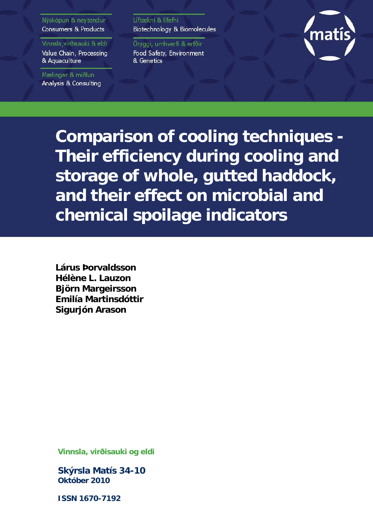#### Nýsköpun & neytendur Consumers & Products

Vinnsla, virðisauki & eldi

Value Chain, Processing & Aquaculture

Mælingar & miðlun Analysis & Consulting Líftækni & lífefni Biotechnology & Biomolecules

Öryggi, umhverfi & erfðir Food Safety, Environment & Genetics



**Comparison of cooling techniques - Their efficiency during cooling and storage of whole, gutted haddock, and their effect on microbial and chemical spoilage indicators** 

**Lárus Þorvaldsson Hélène L. Lauzon Björn Margeirsson Emilía Martinsdóttir Sigurjón Arason**

**Vinnsla, virðisauki og eldi** 

**Skýrsla Matís 34-10 Október 2010** 

**ISSN 1670-7192**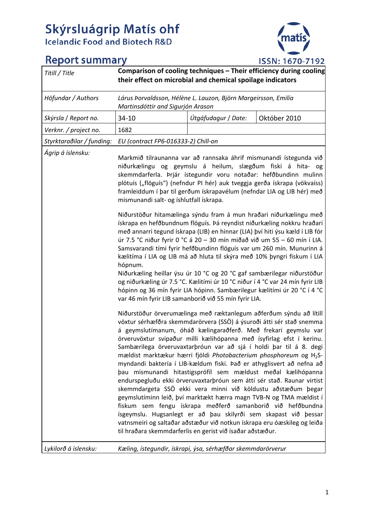# Skýrsluágrip Matís ohf<br>Icelandic Food and Biotech R&D



## **Report summary**

| Titill / Title            | Comparison of cooling techniques - Their efficiency during cooling<br>their effect on microbial and chemical spoilage indicators |                     |                                                                                                                                                                                                                                                                                                                                                                                                                                                                                                                                                                                                                                                                                                                                                                                                                                                                                                                                                                                                                    |  |
|---------------------------|----------------------------------------------------------------------------------------------------------------------------------|---------------------|--------------------------------------------------------------------------------------------------------------------------------------------------------------------------------------------------------------------------------------------------------------------------------------------------------------------------------------------------------------------------------------------------------------------------------------------------------------------------------------------------------------------------------------------------------------------------------------------------------------------------------------------------------------------------------------------------------------------------------------------------------------------------------------------------------------------------------------------------------------------------------------------------------------------------------------------------------------------------------------------------------------------|--|
| Höfundar / Authors        | Lárus Þorvaldsson, Hélène L. Lauzon, Björn Margeirsson, Emilía<br>Martinsdóttir and Sigurjón Arason                              |                     |                                                                                                                                                                                                                                                                                                                                                                                                                                                                                                                                                                                                                                                                                                                                                                                                                                                                                                                                                                                                                    |  |
| Skýrsla / Report no.      | 34-10                                                                                                                            | Útgáfudagur / Date: | Október 2010                                                                                                                                                                                                                                                                                                                                                                                                                                                                                                                                                                                                                                                                                                                                                                                                                                                                                                                                                                                                       |  |
| Verknr. / project no.     | 1682                                                                                                                             |                     |                                                                                                                                                                                                                                                                                                                                                                                                                                                                                                                                                                                                                                                                                                                                                                                                                                                                                                                                                                                                                    |  |
| Styrktaraðilar / funding: | EU (contract FP6-016333-2) Chill-on                                                                                              |                     |                                                                                                                                                                                                                                                                                                                                                                                                                                                                                                                                                                                                                                                                                                                                                                                                                                                                                                                                                                                                                    |  |
| Ágrip á íslensku:         | mismunandi salt- og íshlutfall ískrapa.                                                                                          |                     | Markmið tilraunanna var að rannsaka áhrif mismunandi ístegunda við<br>niðurkælingu og geymslu á heilum, slægðum fiski á hita- og<br>skemmdarferla. Þrjár ístegundir voru notaðar: hefðbundinn mulinn<br>plötuís ("flöguís") (nefndur PI hér) auk tveggja gerða ískrapa (vökvaíss)<br>framleiddum í þar til gerðum ískrapavélum (nefndar LIA og LIB hér) með                                                                                                                                                                                                                                                                                                                                                                                                                                                                                                                                                                                                                                                        |  |
|                           | hópnum.                                                                                                                          |                     | Niðurstöður hitamælinga sýndu fram á mun hraðari niðurkælingu með<br>ískrapa en hefðbundnum flöguís. Þá reyndist niðurkæling nokkru hraðari<br>með annarri tegund ískrapa (LIB) en hinnar (LIA) því hiti ýsu kæld í LIB fór<br>úr 7.5 °C niður fyrir 0 °C á 20 - 30 mín miðað við um 55 - 60 mín í LIA.<br>Samsvarandi tími fyrir hefðbundinn flöguís var um 260 mín. Munurinn á<br>kælitíma í LIA og LIB má að hluta til skýra með 10% þyngri fiskum í LIA<br>Niðurkæling heillar ýsu úr 10 °C og 20 °C gaf sambærilegar niðurstöður<br>og niðurkæling úr 7.5 °C. Kælitími úr 10 °C niður í 4 °C var 24 mín fyrir LIB<br>hópinn og 36 mín fyrir LIA hópinn. Sambærilegur kælitími úr 20 °C í 4 °C                                                                                                                                                                                                                                                                                                                 |  |
|                           | var 46 mín fyrir LIB samanborið við 55 mín fyrir LIA.<br>til hraðara skemmdarferlis en gerist við ísaðar aðstæður.               |                     | Niðurstöður örverumælinga með ræktanlegum aðferðum sýndu að lítill<br>vöxtur sérhæfðra skemmdarörvera (SSÖ) á ýsuroði átti sér stað snemma<br>á geymslutímanum, óháð kælingaraðferð. Með frekari geymslu var<br>örveruvöxtur svipaður milli kælihópanna með ísyfirlag efst í kerinu.<br>Sambærilega örveruvaxtarþróun var að sjá í holdi þar til á 8. degi<br>mældist marktækur hærri fjöldi Photobacterium phosphoreum og H <sub>2</sub> S-<br>myndandi baktería í LIB-kældum fiski. Það er athyglisvert að nefna að<br>þau mismunandi hitastigsprófíl sem mældust meðal kælihópanna<br>endurspegluðu ekki örveruvaxtarþróun sem átti sér stað. Raunar virtist<br>skemmdargeta SSÖ ekki vera minni við köldustu aðstæðum þegar<br>geymslutíminn leið, því marktækt hærra magn TVB-N og TMA mældist í<br>fiskum sem fengu ískrapa meðferð samanborið við hefðbundna<br>ísgeymslu. Hugsanlegt er að þau skilyrði sem skapast við þessar<br>vatnsmeiri og saltaðar aðstæður við notkun ískrapa eru óæskileg og leiða |  |
| Lykilorð á íslensku:      | Kæling, ístegundir, ískrapi, ýsa, sérhæfðar skemmdarörverur                                                                      |                     |                                                                                                                                                                                                                                                                                                                                                                                                                                                                                                                                                                                                                                                                                                                                                                                                                                                                                                                                                                                                                    |  |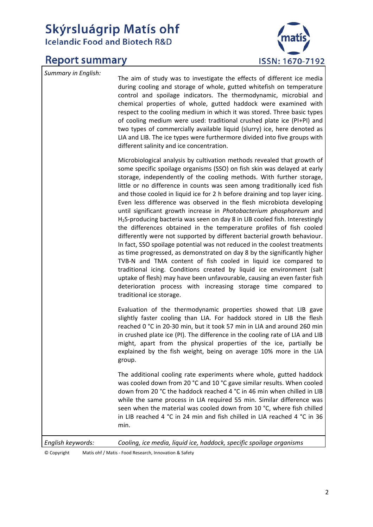## Skýrsluágrip Matís ohf **Icelandic Food and Biotech R&D**

## **Report summary**



*Summary in English:* The aim of study was to investigate the effects of different ice media during cooling and storage of whole, gutted whitefish on temperature control and spoilage indicators. The thermodynamic, microbial and chemical properties of whole, gutted haddock were examined with respect to the cooling medium in which it was stored. Three basic types of cooling medium were used: traditional crushed plate ice (PI+PI) and two types of commercially available liquid (slurry) ice, here denoted as LIA and LIB. The ice types were furthermore divided into five groups with different salinity and ice concentration.

> Microbiological analysis by cultivation methods revealed that growth of some specific spoilage organisms (SSO) on fish skin was delayed at early storage, independently of the cooling methods. With further storage, little or no difference in counts was seen among traditionally iced fish and those cooled in liquid ice for 2 h before draining and top layer icing. Even less difference was observed in the flesh microbiota developing until significant growth increase in *Photobacterium phosphoreum* and H<sub>2</sub>S-producing bacteria was seen on day 8 in LIB cooled fish. Interestingly the differences obtained in the temperature profiles of fish cooled differently were not supported by different bacterial growth behaviour. In fact, SSO spoilage potential was not reduced in the coolest treatments as time progressed, as demonstrated on day 8 by the significantly higher TVB‐N and TMA content of fish cooled in liquid ice compared to traditional icing. Conditions created by liquid ice environment (salt uptake of flesh) may have been unfavourable, causing an even faster fish deterioration process with increasing storage time compared to traditional ice storage.

> Evaluation of the thermodynamic properties showed that LIB gave slightly faster cooling than LIA. For haddock stored in LIB the flesh reached 0 °C in 20‐30 min, but it took 57 min in LIA and around 260 min in crushed plate ice (PI). The difference in the cooling rate of LIA and LIB might, apart from the physical properties of the ice, partially be explained by the fish weight, being on average 10% more in the LIA group.

> The additional cooling rate experiments where whole, gutted haddock was cooled down from 20 °C and 10 °C gave similar results. When cooled down from 20 °C the haddock reached 4 °C in 46 min when chilled in LIB while the same process in LIA required 55 min. Similar difference was seen when the material was cooled down from 10 °C, where fish chilled in LIB reached 4 °C in 24 min and fish chilled in LIA reached 4 °C in 36 min.

*English keywords: Cooling, ice media, liquid ice, haddock, specific spoilage organisms*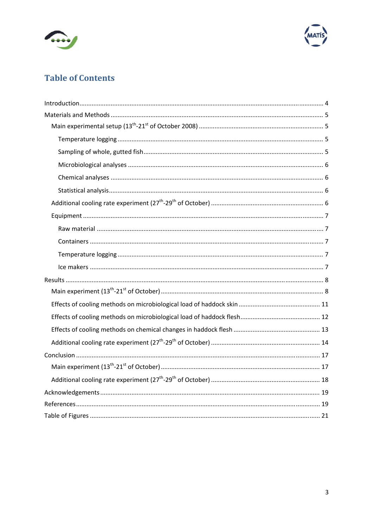



## **Table of Contents**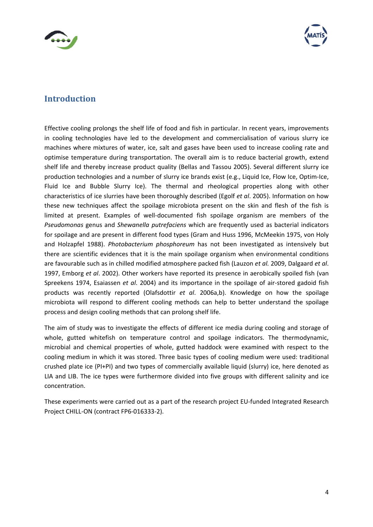



#### **Introduction**

Effective cooling prolongs the shelf life of food and fish in particular. In recent years, improvements in cooling technologies have led to the development and commercialisation of various slurry ice machines where mixtures of water, ice, salt and gases have been used to increase cooling rate and optimise temperature during transportation. The overall aim is to reduce bacterial growth, extend shelf life and thereby increase product quality (Bellas and Tassou 2005). Several different slurry ice production technologies and a number of slurry ice brands exist (e.g., Liquid Ice, Flow Ice, Optim‐Ice, Fluid Ice and Bubble Slurry Ice). The thermal and rheological properties along with other characteristics of ice slurries have been thoroughly described (Egolf *et al*. 2005). Information on how these new techniques affect the spoilage microbiota present on the skin and flesh of the fish is limited at present. Examples of well-documented fish spoilage organism are members of the *Pseudomonas* genus and *Shewanella putrefaciens* which are frequently used as bacterial indicators for spoilage and are present in different food types (Gram and Huss 1996, McMeekin 1975, von Holy and Holzapfel 1988). *Photobacterium phosphoreum* has not been investigated as intensively but there are scientific evidences that it is the main spoilage organism when environmental conditions are favourable such as in chilled modified atmosphere packed fish (Lauzon *et al.* 2009, Dalgaard *et al*. 1997, Emborg *et al*. 2002). Other workers have reported its presence in aerobically spoiled fish (van Spreekens 1974, Esaiassen *et al*. 2004) and its importance in the spoilage of air‐stored gadoid fish products was recently reported (Olafsdottir *et al*. 2006a,b). Knowledge on how the spoilage microbiota will respond to different cooling methods can help to better understand the spoilage process and design cooling methods that can prolong shelf life.

The aim of study was to investigate the effects of different ice media during cooling and storage of whole, gutted whitefish on temperature control and spoilage indicators. The thermodynamic, microbial and chemical properties of whole, gutted haddock were examined with respect to the cooling medium in which it was stored. Three basic types of cooling medium were used: traditional crushed plate ice (PI+PI) and two types of commercially available liquid (slurry) ice, here denoted as LIA and LIB. The ice types were furthermore divided into five groups with different salinity and ice concentration.

These experiments were carried out as a part of the research project EU‐funded Integrated Research Project CHILL‐ON (contract FP6‐016333‐2).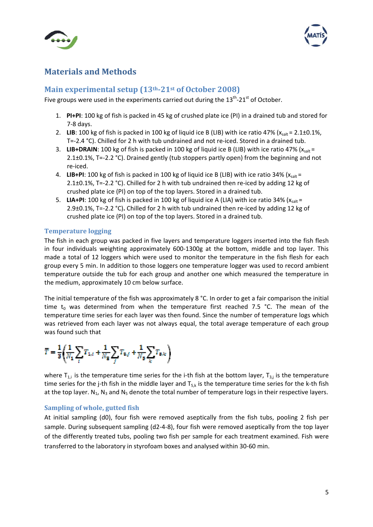



#### **Materials and Methods**

#### **Main experimental setup (13th21st of October 2008)**

Five groups were used in the experiments carried out during the  $13<sup>th</sup>$ -21<sup>st</sup> of October.

- 1. **PI+PI**: 100 kg of fish is packed in 45 kg of crushed plate ice (PI) in a drained tub and stored for 7‐8 days.
- 2. LIB: 100 kg of fish is packed in 100 kg of liquid ice B (LIB) with ice ratio 47% ( $x<sub>salt</sub> = 2.1±0.1%$ , T=-2.4 °C). Chilled for 2 h with tub undrained and not re-iced. Stored in a drained tub.
- 3. **LIB+DRAIN**: 100 kg of fish is packed in 100 kg of liquid ice B (LIB) with ice ratio 47% ( $x<sub>salt</sub> =$ 2.1±0.1%, T=‐2.2 °C). Drained gently (tub stoppers partly open) from the beginning and not re‐iced.
- 4. LIB+PI: 100 kg of fish is packed in 100 kg of liquid ice B (LIB) with ice ratio 34% (x<sub>salt</sub> = 2.1±0.1%, T=-2.2 °C). Chilled for 2 h with tub undrained then re-iced by adding 12 kg of crushed plate ice (PI) on top of the top layers. Stored in a drained tub.
- 5. **LIA+PI**: 100 kg of fish is packed in 100 kg of liquid ice A (LIA) with ice ratio 34% ( $x<sub>cal</sub>$  = 2.9±0.1%, T=‐2.2 °C)**.** Chilled for 2 h with tub undrained then re‐iced by adding 12 kg of crushed plate ice (PI) on top of the top layers. Stored in a drained tub.

#### **Temperature logging**

The fish in each group was packed in five layers and temperature loggers inserted into the fish flesh in four individuals weighting approximately 600‐1300g at the bottom, middle and top layer. This made a total of 12 loggers which were used to monitor the temperature in the fish flesh for each group every 5 min. In addition to those loggers one temperature logger was used to record ambient temperature outside the tub for each group and another one which measured the temperature in the medium, approximately 10 cm below surface.

The initial temperature of the fish was approximately 8 °C. In order to get a fair comparison the initial time  $t_0$  was determined from when the temperature first reached 7.5 °C. The mean of the temperature time series for each layer was then found. Since the number of temperature logs which was retrieved from each layer was not always equal, the total average temperature of each group was found such that

$$
\overline{T} = \frac{1}{3}\bigg(\!\frac{1}{N_1}\!\sum_t\!T_{1,t}+\!\frac{1}{N_3}\!\sum_f\!T_{3,f}+\!\frac{1}{N_3}\!\sum_k\!T_{3,k}\bigg)
$$

where  $T_{1,i}$  is the temperature time series for the i-th fish at the bottom layer,  $T_{3,i}$  is the temperature time series for the j-th fish in the middle layer and  $T_{5,k}$  is the temperature time series for the k-th fish at the top layer.  $N_1$ ,  $N_3$  and  $N_5$  denote the total number of temperature logs in their respective layers.

#### **Sampling of whole, gutted fish**

At initial sampling (d0), four fish were removed aseptically from the fish tubs, pooling 2 fish per sample. During subsequent sampling (d2-4-8), four fish were removed aseptically from the top layer of the differently treated tubs, pooling two fish per sample for each treatment examined. Fish were transferred to the laboratory in styrofoam boxes and analysed within 30‐60 min.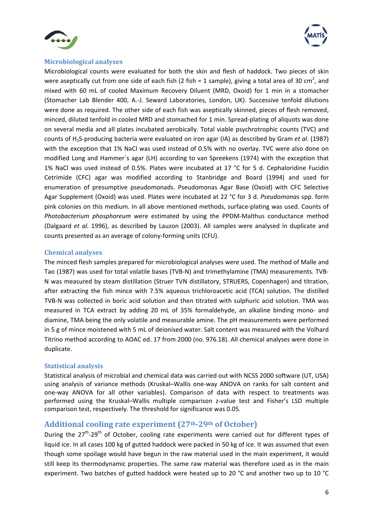



#### **Microbiological analyses**

Microbiological counts were evaluated for both the skin and flesh of haddock. Two pieces of skin were aseptically cut from one side of each fish (2 fish = 1 sample), giving a total area of 30 cm<sup>2</sup>, and mixed with 60 mL of cooled Maximum Recovery Diluent (MRD, Oxoid) for 1 min in a stomacher (Stomacher Lab Blender 400, A.‐J. Seward Laboratories, London, UK). Successive tenfold dilutions were done as required. The other side of each fish was aseptically skinned, pieces of flesh removed, minced, diluted tenfold in cooled MRD and stomached for 1 min. Spread‐plating of aliquots was done on several media and all plates incubated aerobically. Total viable psychrotrophic counts (TVC) and counts of H2S‐producing bacteria were evaluated on iron agar (IA) as described by Gram *et al*. (1987) with the exception that 1% NaCl was used instead of 0.5% with no overlay. TVC were also done on modified Long and Hammer´s agar (LH) according to van Spreekens (1974) with the exception that 1% NaCl was used instead of 0.5%. Plates were incubated at 17 °C for 5 d. Cephaloridine Fucidin Cetrimide (CFC) agar was modified according to Stanbridge and Board (1994) and used for enumeration of presumptive pseudomonads. Pseudomonas Agar Base (Oxoid) with CFC Selective Agar Supplement (Oxoid) was used. Plates were incubated at 22 °C for 3 d. *Pseudomonas* spp. form pink colonies on this medium. In all above mentioned methods, surface‐plating was used. Counts of *Photobacterium phosphoreum* were estimated by using the PPDM‐Malthus conductance method (Dalgaard *et al.* 1996), as described by Lauzon (2003). All samples were analysed in duplicate and counts presented as an average of colony‐forming units (CFU).

#### **Chemical analyses**

The minced flesh samples prepared for microbiological analyses were used. The method of Malle and Tao (1987) was used for total volatile bases (TVB‐N) and trimethylamine (TMA) measurements. TVB‐ N was measured by steam distillation (Struer TVN distillatory, STRUERS, Copenhagen) and titration, after extracting the fish mince with 7.5% aqueous trichloroacetic acid (TCA) solution. The distilled TVB‐N was collected in boric acid solution and then titrated with sulphuric acid solution. TMA was measured in TCA extract by adding 20 mL of 35% formaldehyde, an alkaline binding mono‐ and diamine, TMA being the only volatile and measurable amine. The pH measurements were performed in 5 g of mince moistened with 5 mL of deionised water. Salt content was measured with the Volhard Titrino method according to AOAC ed. 17 from 2000 (no. 976.18). All chemical analyses were done in duplicate.

#### **Statistical analysis**

Statistical analysis of microbial and chemical data was carried out with NCSS 2000 software (UT, USA) using analysis of variance methods (Kruskal–Wallis one‐way ANOVA on ranks for salt content and one‐way ANOVA for all other variables). Comparison of data with respect to treatments was performed using the Kruskal–Wallis multiple comparison z-value test and Fisher's LSD multiple comparison test, respectively. The threshold for significance was 0.05.

#### **Additional cooling rate experiment (27th29th of October)**

During the 27<sup>th</sup>-29<sup>th</sup> of October, cooling rate experiments were carried out for different types of liquid ice. In all cases 100 kg of gutted haddock were packed in 50 kg of ice. It was assumed that even though some spoilage would have begun in the raw material used in the main experiment, it would still keep its thermodynamic properties. The same raw material was therefore used as in the main experiment. Two batches of gutted haddock were heated up to 20 °C and another two up to 10 °C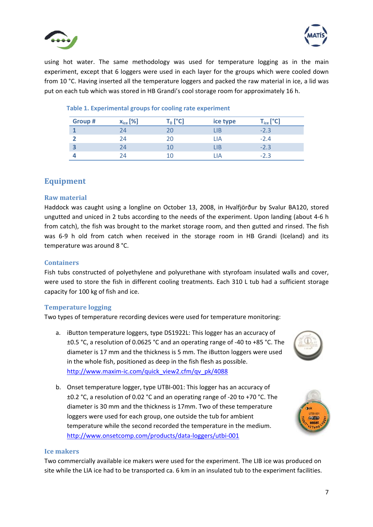



using hot water. The same methodology was used for temperature logging as in the main experiment, except that 6 loggers were used in each layer for the groups which were cooled down from 10 °C. Having inserted all the temperature loggers and packed the raw material in ice, a lid was put on each tub which was stored in HB Grandi's cool storage room for approximately 16 h.

| Group # | $x_{ice}$ [%] | $\cdot$ [°C] | ice type | ${\mathsf T}_{\operatorname{ice}}\left[ {}^{\circ} {\mathsf C} \right]$ |
|---------|---------------|--------------|----------|-------------------------------------------------------------------------|
|         | 24            |              | LIB      |                                                                         |
|         | 24            | 20           | LIA      | $-2.4$                                                                  |
| З       | 24            | ш            | LIB      | $-2.3$                                                                  |
|         |               | н.           | IΑ       | $-2.3$                                                                  |

#### **Table 1. Experimental groups for cooling rate experiment**

#### **Equipment**

#### **Raw material**

Haddock was caught using a longline on October 13, 2008, in Hvalfjörður by Svalur BA120, stored ungutted and uniced in 2 tubs according to the needs of the experiment. Upon landing (about 4‐6 h from catch), the fish was brought to the market storage room, and then gutted and rinsed. The fish was 6-9 h old from catch when received in the storage room in HB Grandi (Iceland) and its temperature was around 8 °C.

#### **Containers**

Fish tubs constructed of polyethylene and polyurethane with styrofoam insulated walls and cover, were used to store the fish in different cooling treatments. Each 310 L tub had a sufficient storage capacity for 100 kg of fish and ice.

#### **Temperature logging**

Two types of temperature recording devices were used for temperature monitoring:

a. iButton temperature loggers, type DS1922L: This logger has an accuracy of ±0.5 °C, a resolution of 0.0625 °C and an operating range of ‐40 to +85 °C. The diameter is 17 mm and the thickness is 5 mm. The iButton loggers were used in the whole fish, positioned as deep in the fish flesh as possible. http://www.maxim-ic.com/quick\_view2.cfm/qv\_pk/4088



b. Onset temperature logger, type UTBI‐001: This logger has an accuracy of ±0.2 °C, a resolution of 0.02 °C and an operating range of ‐20 to +70 °C. The diameter is 30 mm and the thickness is 17mm. Two of these temperature loggers were used for each group, one outside the tub for ambient temperature while the second recorded the temperature in the medium. http://www.onsetcomp.com/products/data‐loggers/utbi‐001



#### **Ice makers**

Two commercially available ice makers were used for the experiment. The LIB ice was produced on site while the LIA ice had to be transported ca. 6 km in an insulated tub to the experiment facilities.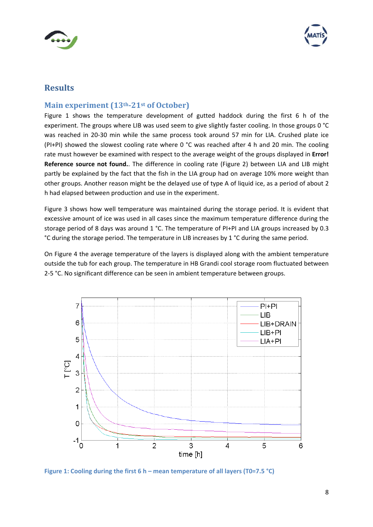



#### **Results**

#### **Main experiment (13th21st of October)**

Figure 1 shows the temperature development of gutted haddock during the first 6 h of the experiment. The groups where LIB was used seem to give slightly faster cooling. In those groups 0 °C was reached in 20-30 min while the same process took around 57 min for LIA. Crushed plate ice (PI+PI) showed the slowest cooling rate where 0 °C was reached after 4 h and 20 min. The cooling rate must however be examined with respect to the average weight of the groups displayed in **Error! Reference source not found.**. The difference in cooling rate (Figure 2) between LIA and LIB might partly be explained by the fact that the fish in the LIA group had on average 10% more weight than other groups. Another reason might be the delayed use of type A of liquid ice, as a period of about 2 h had elapsed between production and use in the experiment.

Figure 3 shows how well temperature was maintained during the storage period. It is evident that excessive amount of ice was used in all cases since the maximum temperature difference during the storage period of 8 days was around 1 °C. The temperature of PI+PI and LIA groups increased by 0.3 °C during the storage period. The temperature in LIB increases by 1 °C during the same period.

On Figure 4 the average temperature of the layers is displayed along with the ambient temperature outside the tub for each group. The temperature in HB Grandi cool storage room fluctuated between 2‐5 °C. No significant difference can be seen in ambient temperature between groups.



**Figure 1: Cooling during the first 6 h – mean temperature of all layers (T0=7.5 °C)**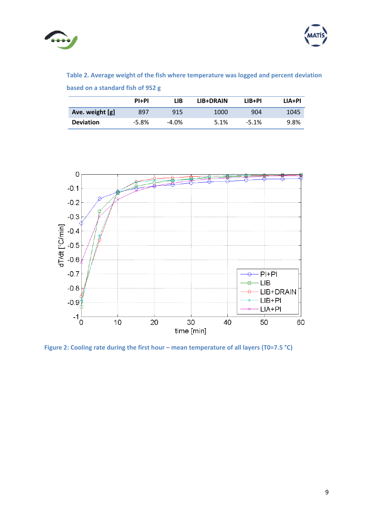



**Table 2. Average weight of the fish where temperature was logged and percent deviation based on a standard fish of 952 g**

|                  | P <sub>1</sub> +P <sub>1</sub> | LIB   | LIB+DRAIN | LIB+PI  | LIA+PI |
|------------------|--------------------------------|-------|-----------|---------|--------|
| Ave. weight [g]  | 897                            | 915   | 1000      | 904     | 1045   |
| <b>Deviation</b> | $-5.8\%$                       | -4.0% | 5.1%      | $-5.1%$ | 9.8%   |



**Figure 2: Cooling rate during the first hour – mean temperature of all layers (T0=7.5 °C)**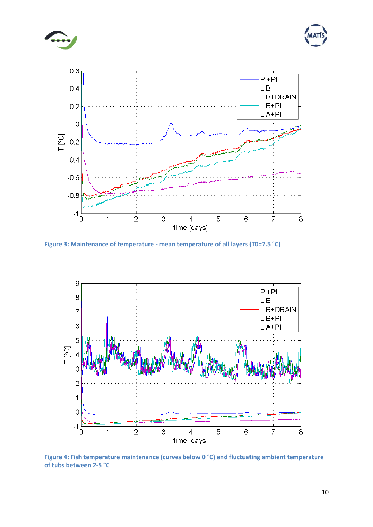





**Figure 3: Maintenance of temperature ‐ mean temperature of all layers (T0=7.5 °C)**



**Figure 4: Fish temperature maintenance (curves below 0 °C) and fluctuating ambient temperature of tubs between 2‐5 °C**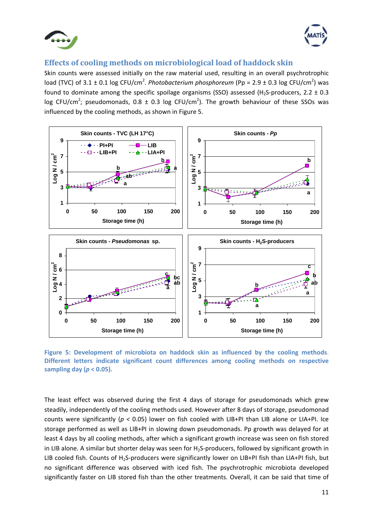



#### **Effects of cooling methods on microbiological load of haddock skin**

Skin counts were assessed initially on the raw material used, resulting in an overall psychrotrophic load (TVC) of 3.1 ± 0.1 log CFU/cm<sup>2</sup>. *Photobacterium phosphoreum* (Pp = 2.9 ± 0.3 log CFU/cm<sup>2</sup>) was found to dominate among the specific spoilage organisms (SSO) assessed (H<sub>2</sub>S-producers, 2.2  $\pm$  0.3 log CFU/cm<sup>2</sup>; pseudomonads, 0.8  $\pm$  0.3 log CFU/cm<sup>2</sup>). The growth behaviour of these SSOs was influenced by the cooling methods, as shown in Figure 5.



**Figure 5: Development of microbiota on haddock skin as influenced by the cooling methods**. **Different letters indicate significant count differences among cooling methods on respective sampling day (***p* **< 0.05).**

The least effect was observed during the first 4 days of storage for pseudomonads which grew steadily, independently of the cooling methods used. However after 8 days of storage, pseudomonad counts were significantly (*p <* 0.05) lower on fish cooled with LIB+PI than LIB alone or LIA+PI. Ice storage performed as well as LIB+PI in slowing down pseudomonads. Pp growth was delayed for at least 4 days by all cooling methods, after which a significant growth increase was seen on fish stored in LIB alone. A similar but shorter delay was seen for  $H_2S$ -producers, followed by significant growth in LIB cooled fish. Counts of H<sub>2</sub>S-producers were significantly lower on LIB+PI fish than LIA+PI fish, but no significant difference was observed with iced fish. The psychrotrophic microbiota developed significantly faster on LIB stored fish than the other treatments. Overall, it can be said that time of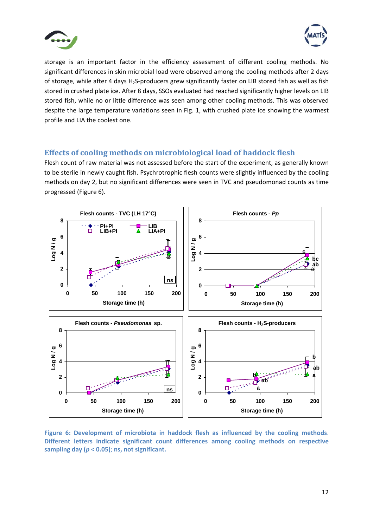



storage is an important factor in the efficiency assessment of different cooling methods. No significant differences in skin microbial load were observed among the cooling methods after 2 days of storage, while after 4 days H<sub>2</sub>S-producers grew significantly faster on LIB stored fish as well as fish stored in crushed plate ice. After 8 days, SSOs evaluated had reached significantly higher levels on LIB stored fish, while no or little difference was seen among other cooling methods. This was observed despite the large temperature variations seen in Fig. 1, with crushed plate ice showing the warmest profile and LIA the coolest one.

#### **Effects of cooling methods on microbiological load of haddock flesh**

Flesh count of raw material was not assessed before the start of the experiment, as generally known to be sterile in newly caught fish. Psychrotrophic flesh counts were slightly influenced by the cooling methods on day 2, but no significant differences were seen in TVC and pseudomonad counts as time progressed (Figure 6).



**Figure 6: Development of microbiota in haddock flesh as influenced by the cooling methods**. **Different letters indicate significant count differences among cooling methods on respective sampling day (***p* **< 0.05)**; **ns, not significant.**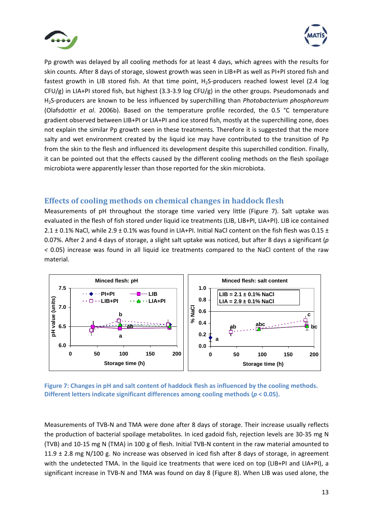



Pp growth was delayed by all cooling methods for at least 4 days, which agrees with the results for skin counts. After 8 days of storage, slowest growth was seen in LIB+PI as well as PI+PI stored fish and fastest growth in LIB stored fish. At that time point, H<sub>2</sub>S-producers reached lowest level (2.4 log  $CFU/g$ ) in LIA+PI stored fish, but highest (3.3-3.9 log  $CFU/g$ ) in the other groups. Pseudomonads and H2S‐producers are known to be less influenced by superchilling than *Photobacterium phosphoreum* (Olafsdottir *et al*. 2006b). Based on the temperature profile recorded, the 0.5 °C temperature gradient observed between LIB+PI or LIA+PI and ice stored fish, mostly at the superchilling zone, does not explain the similar Pp growth seen in these treatments. Therefore it is suggested that the more salty and wet environment created by the liquid ice may have contributed to the transition of Pp from the skin to the flesh and influenced its development despite this superchilled condition. Finally, it can be pointed out that the effects caused by the different cooling methods on the flesh spoilage microbiota were apparently lesser than those reported for the skin microbiota.

#### **Effects of cooling methods on chemical changes in haddock flesh**

Measurements of pH throughout the storage time varied very little (Figure 7). Salt uptake was evaluated in the flesh of fish stored under liquid ice treatments (LIB, LIB+PI, LIA+PI). LIB ice contained 2.1  $\pm$  0.1% NaCl, while 2.9  $\pm$  0.1% was found in LIA+PI. Initial NaCl content on the fish flesh was 0.15  $\pm$ 0.07%. After 2 and 4 days of storage, a slight salt uptake was noticed, but after 8 days a significant (*p <* 0.05) increase was found in all liquid ice treatments compared to the NaCl content of the raw material.



**Figure 7: Changes in pH and salt content of haddock flesh as influenced by the cooling methods. Different letters indicate significant differences among cooling methods (***p* **< 0.05).**

Measurements of TVB‐N and TMA were done after 8 days of storage. Their increase usually reflects the production of bacterial spoilage metabolites. In iced gadoid fish, rejection levels are 30‐35 mg N (TVB) and 10‐15 mg N (TMA) in 100 g of flesh. Initial TVB‐N content in the raw material amounted to 11.9  $\pm$  2.8 mg N/100 g. No increase was observed in iced fish after 8 days of storage, in agreement with the undetected TMA. In the liquid ice treatments that were iced on top (LIB+PI and LIA+PI), a significant increase in TVB‐N and TMA was found on day 8 (Figure 8). When LIB was used alone, the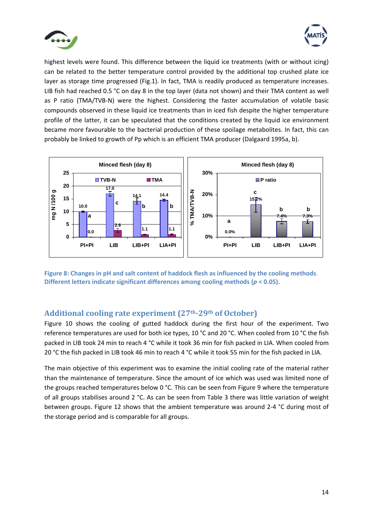



highest levels were found. This difference between the liquid ice treatments (with or without icing) can be related to the better temperature control provided by the additional top crushed plate ice layer as storage time progressed (Fig.1). In fact, TMA is readily produced as temperature increases. LIB fish had reached 0.5 °C on day 8 in the top layer (data not shown) and their TMA content as well as P ratio (TMA/TVB-N) were the highest. Considering the faster accumulation of volatile basic compounds observed in these liquid ice treatments than in iced fish despite the higher temperature profile of the latter, it can be speculated that the conditions created by the liquid ice environment became more favourable to the bacterial production of these spoilage metabolites. In fact, this can probably be linked to growth of Pp which is an efficient TMA producer (Dalgaard 1995a, b).



**Figure 8: Changes in pH and salt content of haddock flesh as influenced by the cooling methods**. **Different letters indicate significant differences among cooling methods (***p* **< 0.05).**

#### **Additional cooling rate experiment (27th29th of October)**

Figure 10 shows the cooling of gutted haddock during the first hour of the experiment. Two reference temperatures are used for both ice types, 10 °C and 20 °C. When cooled from 10 °C the fish packed in LIB took 24 min to reach 4 °C while it took 36 min for fish packed in LIA. When cooled from 20 °C the fish packed in LIB took 46 min to reach 4 °C while it took 55 min for the fish packed in LIA.

The main objective of this experiment was to examine the initial cooling rate of the material rather than the maintenance of temperature. Since the amount of ice which was used was limited none of the groups reached temperatures below 0 °C. This can be seen from Figure 9 where the temperature of all groups stabilises around 2 °C. As can be seen from Table 3 there was little variation of weight between groups. Figure 12 shows that the ambient temperature was around 2‐4 °C during most of the storage period and is comparable for all groups.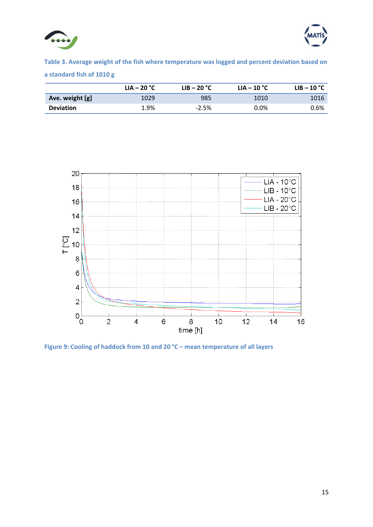



**Table 3. Average weight of the fish where temperature was logged and percent deviation based on a standard fish of 1010 g**

|                  | $LIA - 20 °C$ | $LIB - 20 °C$ | $LIA - 10 °C$ | LIB – 10 $^{\circ}$ C |
|------------------|---------------|---------------|---------------|-----------------------|
| Ave. weight [g]  | 1029          | 985           | 1010          | 1016                  |
| <b>Deviation</b> | 1.9%          | $-2.5%$       | $0.0\%$       | 0.6%                  |



**Figure 9: Cooling of haddock from 10 and 20 °C – mean temperature of all layers**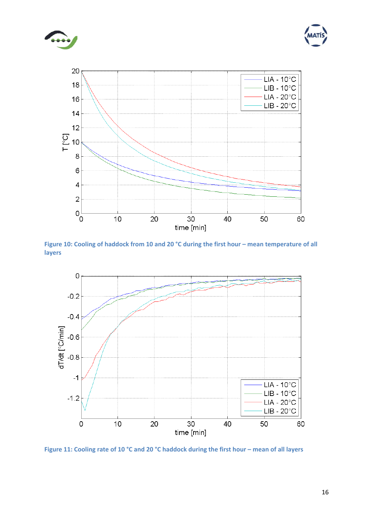





Figure 10: Cooling of haddock from 10 and 20 °C during the first hour - mean temperature of all **layers**



Figure 11: Cooling rate of 10 °C and 20 °C haddock during the first hour - mean of all layers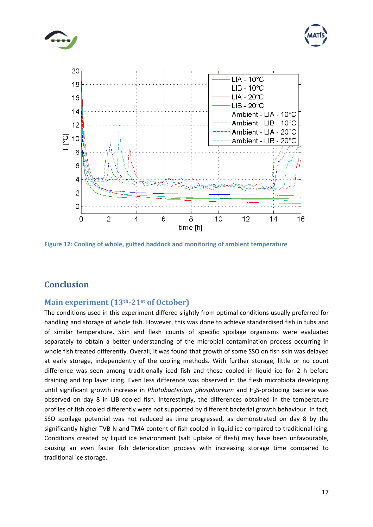





**Figure 12: Cooling of whole, gutted haddock and monitoring of ambient temperature**

### **Conclusion**

#### **Main experiment (13th21st of October)**

The conditions used in this experiment differed slightly from optimal conditions usually preferred for handling and storage of whole fish. However, this was done to achieve standardised fish in tubs and of similar temperature. Skin and flesh counts of specific spoilage organisms were evaluated separately to obtain a better understanding of the microbial contamination process occurring in whole fish treated differently. Overall, it was found that growth of some SSO on fish skin was delayed at early storage, independently of the cooling methods. With further storage, little or no count difference was seen among traditionally iced fish and those cooled in liquid ice for 2 h before draining and top layer icing. Even less difference was observed in the flesh microbiota developing until significant growth increase in *Photobacterium phosphoreum* and H<sub>2</sub>S-producing bacteria was observed on day 8 in LIB cooled fish. Interestingly, the differences obtained in the temperature profiles of fish cooled differently were not supported by different bacterial growth behaviour. In fact, SSO spoilage potential was not reduced as time progressed, as demonstrated on day 8 by the significantly higher TVB-N and TMA content of fish cooled in liquid ice compared to traditional icing. Conditions created by liquid ice environment (salt uptake of flesh) may have been unfavourable, causing an even faster fish deterioration process with increasing storage time compared to traditional ice storage.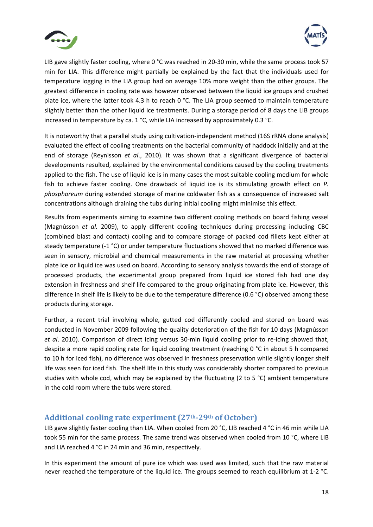



LIB gave slightly faster cooling, where 0 °C was reached in 20-30 min, while the same process took 57 min for LIA. This difference might partially be explained by the fact that the individuals used for temperature logging in the LIA group had on average 10% more weight than the other groups. The greatest difference in cooling rate was however observed between the liquid ice groups and crushed plate ice, where the latter took 4.3 h to reach 0 °C. The LIA group seemed to maintain temperature slightly better than the other liquid ice treatments. During a storage period of 8 days the LIB groups increased in temperature by ca. 1 °C, while LIA increased by approximately 0.3 °C.

It is noteworthy that a parallel study using cultivation-independent method (16S rRNA clone analysis) evaluated the effect of cooling treatments on the bacterial community of haddock initially and at the end of storage (Reynisson *et al*., 2010). It was shown that a significant divergence of bacterial developments resulted, explained by the environmental conditions caused by the cooling treatments applied to the fish. The use of liquid ice is in many cases the most suitable cooling medium for whole fish to achieve faster cooling. One drawback of liquid ice is its stimulating growth effect on *P. phosphoreum* during extended storage of marine coldwater fish as a consequence of increased salt concentrations although draining the tubs during initial cooling might minimise this effect.

Results from experiments aiming to examine two different cooling methods on board fishing vessel (Magnússon *et al.* 2009), to apply different cooling techniques during processing including CBC (combined blast and contact) cooling and to compare storage of packed cod fillets kept either at steady temperature (-1 °C) or under temperature fluctuations showed that no marked difference was seen in sensory, microbial and chemical measurements in the raw material at processing whether plate ice or liquid ice was used on board. According to sensory analysis towards the end of storage of processed products, the experimental group prepared from liquid ice stored fish had one day extension in freshness and shelf life compared to the group originating from plate ice. However, this difference in shelf life is likely to be due to the temperature difference (0.6 °C) observed among these products during storage.

Further, a recent trial involving whole, gutted cod differently cooled and stored on board was conducted in November 2009 following the quality deterioration of the fish for 10 days (Magnússon *et al*. 2010). Comparison of direct icing versus 30‐min liquid cooling prior to re‐icing showed that, despite a more rapid cooling rate for liquid cooling treatment (reaching 0 °C in about 5 h compared to 10 h for iced fish), no difference was observed in freshness preservation while slightly longer shelf life was seen for iced fish. The shelf life in this study was considerably shorter compared to previous studies with whole cod, which may be explained by the fluctuating (2 to 5 °C) ambient temperature in the cold room where the tubs were stored.

#### **Additional cooling rate experiment (27th29th of October)**

LIB gave slightly faster cooling than LIA. When cooled from 20 °C, LIB reached 4 °C in 46 min while LIA took 55 min for the same process. The same trend was observed when cooled from 10 °C, where LIB and LIA reached 4 °C in 24 min and 36 min, respectively.

In this experiment the amount of pure ice which was used was limited, such that the raw material never reached the temperature of the liquid ice. The groups seemed to reach equilibrium at 1‐2 °C.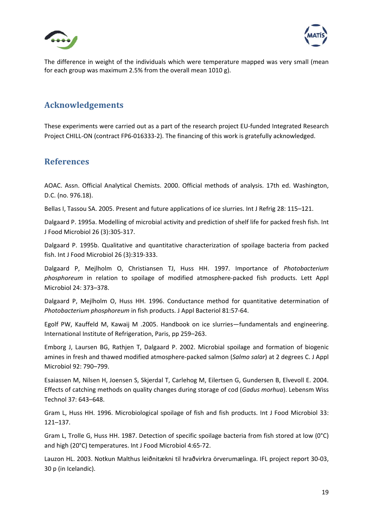



The difference in weight of the individuals which were temperature mapped was very small (mean for each group was maximum 2.5% from the overall mean 1010 g).

#### **Acknowledgements**

These experiments were carried out as a part of the research project EU‐funded Integrated Research Project CHILL‐ON (contract FP6‐016333‐2). The financing of this work is gratefully acknowledged.

#### **References**

AOAC. Assn. Official Analytical Chemists. 2000. Official methods of analysis. 17th ed. Washington, D.C. (no. 976.18).

Bellas I, Tassou SA. 2005. Present and future applications of ice slurries. Int J Refrig 28: 115–121.

Dalgaard P. 1995a. Modelling of microbial activity and prediction of shelf life for packed fresh fish. Int J Food Microbiol 26 (3):305‐317.

Dalgaard P. 1995b. Qualitative and quantitative characterization of spoilage bacteria from packed fish. Int J Food Microbiol 26 (3):319‐333.

Dalgaard P, Mejlholm O, Christiansen TJ, Huss HH. 1997. Importance of *Photobacterium phosphoreum* in relation to spoilage of modified atmosphere‐packed fish products. Lett Appl Microbiol 24: 373–378.

Dalgaard P, Mejlholm O, Huss HH. 1996. Conductance method for quantitative determination of *Photobacterium phosphoreum* in fish products. J Appl Bacteriol 81:57‐64.

Egolf PW, Kauffeld M, Kawaij M .2005. Handbook on ice slurries—fundamentals and engineering. International Institute of Refrigeration, Paris, pp 259–263.

Emborg J, Laursen BG, Rathjen T, Dalgaard P. 2002. Microbial spoilage and formation of biogenic amines in fresh and thawed modified atmosphere‐packed salmon (*Salmo salar*) at 2 degrees C. J Appl Microbiol 92: 790–799.

Esaiassen M, Nilsen H, Joensen S, Skjerdal T, Carlehog M, Eilertsen G, Gundersen B, Elvevoll E. 2004. Effects of catching methods on quality changes during storage of cod (*Gadus morhua*). Lebensm Wiss Technol 37: 643–648.

Gram L, Huss HH. 1996. Microbiological spoilage of fish and fish products. Int J Food Microbiol 33: 121–137.

Gram L, Trolle G, Huss HH. 1987. Detection of specific spoilage bacteria from fish stored at low (0°C) and high (20°C) temperatures. Int J Food Microbiol 4:65‐72.

Lauzon HL. 2003. Notkun Malthus leiðnitækni til hraðvirkra örverumælinga. IFL project report 30‐03, 30 p (in Icelandic).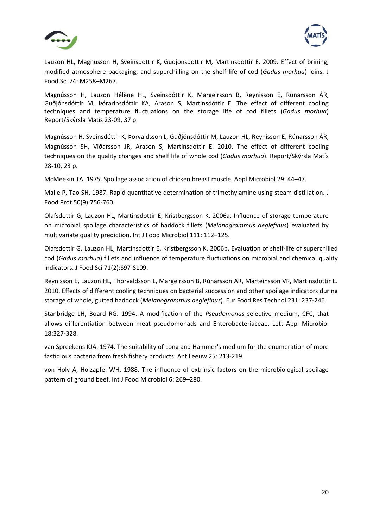



Lauzon HL, Magnusson H, Sveinsdottir K, Gudjonsdottir M, Martinsdottir E. 2009. Effect of brining, modified atmosphere packaging, and superchilling on the shelf life of cod (*Gadus morhua*) loins. J Food Sci 74: M258–M267.

Magnússon H, Lauzon Hélène HL, Sveinsdóttir K, Margeirsson B, Reynisson E, Rúnarsson ÁR, Guðjónsdóttir M, Þórarinsdóttir KA, Arason S, Martinsdóttir E. The effect of different cooling techniques and temperature fluctuations on the storage life of cod fillets (*Gadus morhua*) Report/Skýrsla Matís 23‐09, 37 p.

Magnússon H, Sveinsdóttir K, Þorvaldsson L, Guðjónsdóttir M, Lauzon HL, Reynisson E, Rúnarsson ÁR, Magnússon SH, Viðarsson JR, Arason S, Martinsdóttir E. 2010. The effect of different cooling techniques on the quality changes and shelf life of whole cod (*Gadus morhua*). Report/Skýrsla Matís 28‐10, 23 p.

McMeekin TA. 1975. Spoilage association of chicken breast muscle. Appl Microbiol 29: 44–47.

Malle P, Tao SH. 1987. Rapid quantitative determination of trimethylamine using steam distillation. J Food Prot 50(9):756‐760.

Olafsdottir G, Lauzon HL, Martinsdottir E, Kristbergsson K. 2006a. Influence of storage temperature on microbial spoilage characteristics of haddock fillets (*Melanogrammus aeglefinus*) evaluated by multivariate quality prediction. Int J Food Microbiol 111: 112–125.

Olafsdottir G, Lauzon HL, Martinsdottir E, Kristbergsson K. 2006b. Evaluation of shelf‐life of superchilled cod (*Gadus morhua*) fillets and influence of temperature fluctuations on microbial and chemical quality indicators. J Food Sci 71(2):S97‐S109.

Reynisson E, Lauzon HL, Thorvaldsson L, Margeirsson B, Rúnarsson AR, Marteinsson VÞ, Martinsdottir E. 2010. Effects of different cooling techniques on bacterial succession and other spoilage indicators during storage of whole, gutted haddock (*Melanogrammus aeglefinus*). Eur Food Res Technol 231: 237‐246.

Stanbridge LH, Board RG. 1994. A modification of the *Pseudomonas* selective medium, CFC, that allows differentiation between meat pseudomonads and Enterobacteriaceae. Lett Appl Microbiol 18:327‐328.

van Spreekens KJA. 1974. The suitability of Long and Hammer's medium for the enumeration of more fastidious bacteria from fresh fishery products. Ant Leeuw 25: 213‐219.

von Holy A, Holzapfel WH. 1988. The influence of extrinsic factors on the microbiological spoilage pattern of ground beef. Int J Food Microbiol 6: 269–280.